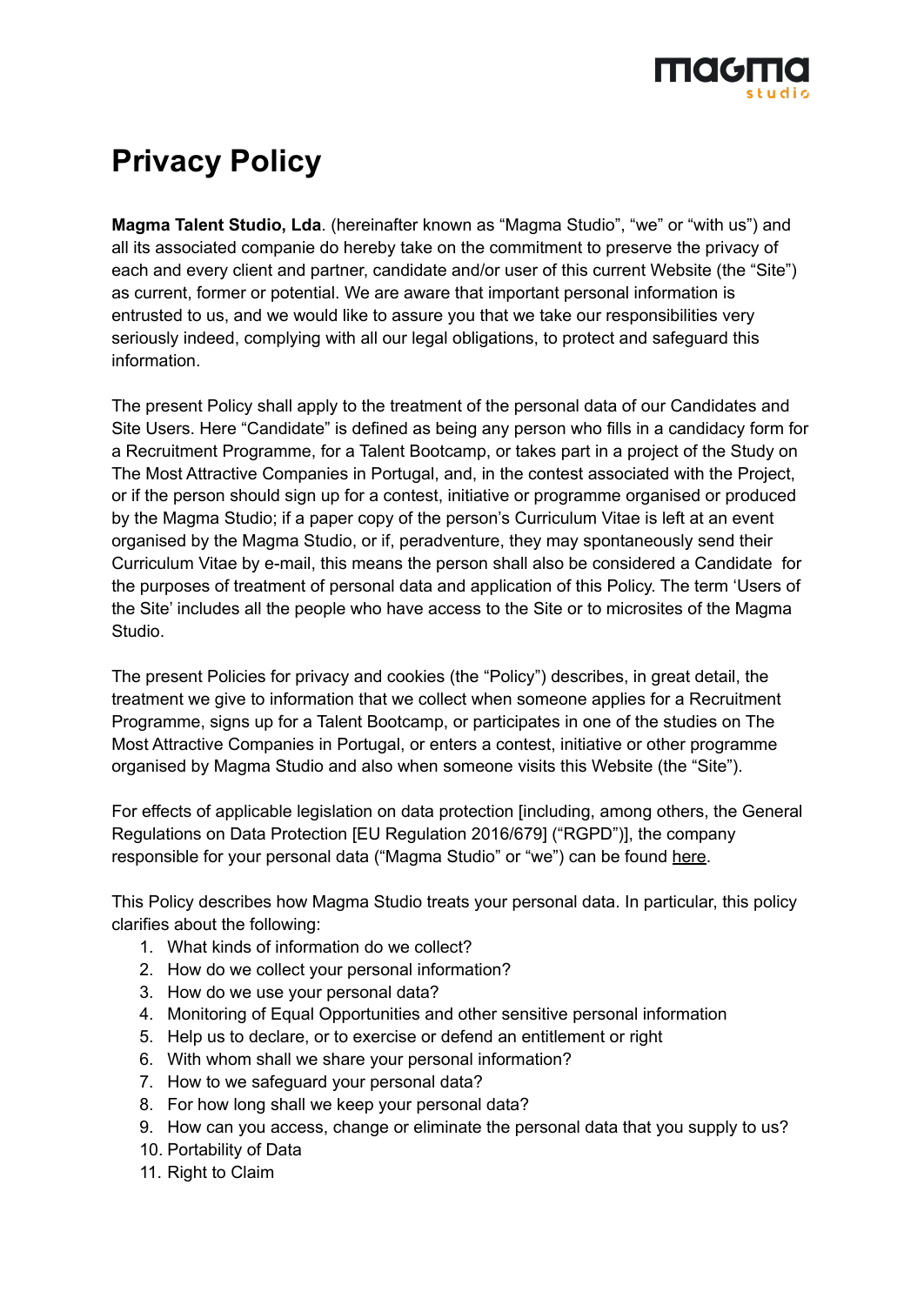

# **Privacy Policy**

**Magma Talent Studio, Lda**. (hereinafter known as "Magma Studio", "we" or "with us") and all its associated companie do hereby take on the commitment to preserve the privacy of each and every client and partner, candidate and/or user of this current Website (the "Site") as current, former or potential. We are aware that important personal information is entrusted to us, and we would like to assure you that we take our responsibilities very seriously indeed, complying with all our legal obligations, to protect and safeguard this information.

The present Policy shall apply to the treatment of the personal data of our Candidates and Site Users. Here "Candidate" is defined as being any person who fills in a candidacy form for a Recruitment Programme, for a Talent Bootcamp, or takes part in a project of the Study on The Most Attractive Companies in Portugal, and, in the contest associated with the Project, or if the person should sign up for a contest, initiative or programme organised or produced by the Magma Studio; if a paper copy of the person's Curriculum Vitae is left at an event organised by the Magma Studio, or if, peradventure, they may spontaneously send their Curriculum Vitae by e-mail, this means the person shall also be considered a Candidate for the purposes of treatment of personal data and application of this Policy. The term 'Users of the Site' includes all the people who have access to the Site or to microsites of the Magma Studio.

The present Policies for privacy and cookies (the "Policy") describes, in great detail, the treatment we give to information that we collect when someone applies for a Recruitment Programme, signs up for a Talent Bootcamp, or participates in one of the studies on The Most Attractive Companies in Portugal, or enters a contest, initiative or other programme organised by Magma Studio and also when someone visits this Website (the "Site").

For effects of applicable legislation on data protection [including, among others, the General Regulations on Data Protection [EU Regulation 2016/679] ("RGPD")], the company responsible for your personal data ("Magma Studio" or "we") can be found [here.](#page-6-0)

This Policy describes how Magma Studio treats your personal data. In particular, this policy clarifies about the following:

- 1. What kinds of information do we collect?
- 2. How do we collect your personal information?
- 3. How do we use your personal data?
- 4. Monitoring of Equal Opportunities and other sensitive personal information
- 5. Help us to declare, or to exercise or defend an entitlement or right
- 6. With whom shall we share your personal information?
- 7. How to we safeguard your personal data?
- 8. For how long shall we keep your personal data?
- 9. How can you access, change or eliminate the personal data that you supply to us?
- 10. Portability of Data
- 11. Right to Claim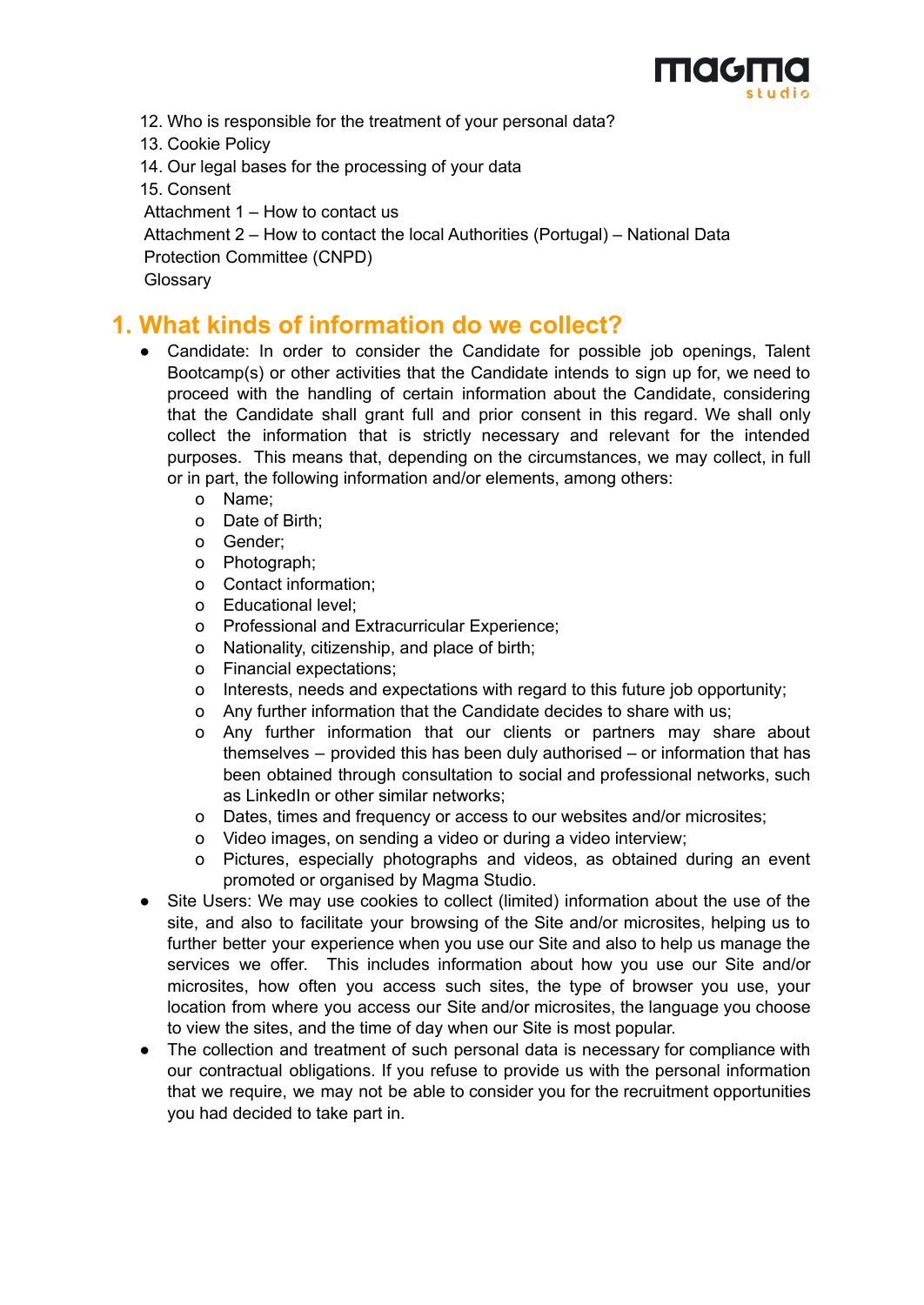

12. Who is responsible for the treatment of your personal data?

13. Cookie Policy

14. Our legal bases for the processing of your data

15. Consent

Attachment 1 – How to contact us

Attachment 2 – How to contact the local Authorities (Portugal) – National Data

Protection Committee (CNPD)

**Glossary** 

# **1. What kinds of information do we collect?**

- Candidate: In order to consider the Candidate for possible job openings, Talent Bootcamp(s) or other activities that the Candidate intends to sign up for, we need to proceed with the handling of certain information about the Candidate, considering that the Candidate shall grant full and prior consent in this regard. We shall only collect the information that is strictly necessary and relevant for the intended purposes. This means that, depending on the circumstances, we may collect, in full or in part, the following information and/or elements, among others:
	- o Name;
	- o Date of Birth;
	- o Gender;
	- o Photograph;
	- o Contact information;
	- o Educational level;
	- o Professional and Extracurricular Experience;
	- o Nationality, citizenship, and place of birth;
	- o Financial expectations;
	- o Interests, needs and expectations with regard to this future job opportunity;
	- o Any further information that the Candidate decides to share with us;
	- o Any further information that our clients or partners may share about themselves – provided this has been duly authorised – or information that has been obtained through consultation to social and professional networks, such as LinkedIn or other similar networks;
	- o Dates, times and frequency or access to our websites and/or microsites;
	- o Video images, on sending a video or during a video interview;
	- o Pictures, especially photographs and videos, as obtained during an event promoted or organised by Magma Studio.
- Site Users: We may use cookies to collect (limited) information about the use of the site, and also to facilitate your browsing of the Site and/or microsites, helping us to further better your experience when you use our Site and also to help us manage the services we offer. This includes information about how you use our Site and/or microsites, how often you access such sites, the type of browser you use, your location from where you access our Site and/or microsites, the language you choose to view the sites, and the time of day when our Site is most popular.
- The collection and treatment of such personal data is necessary for compliance with our contractual obligations. If you refuse to provide us with the personal information that we require, we may not be able to consider you for the recruitment opportunities you had decided to take part in.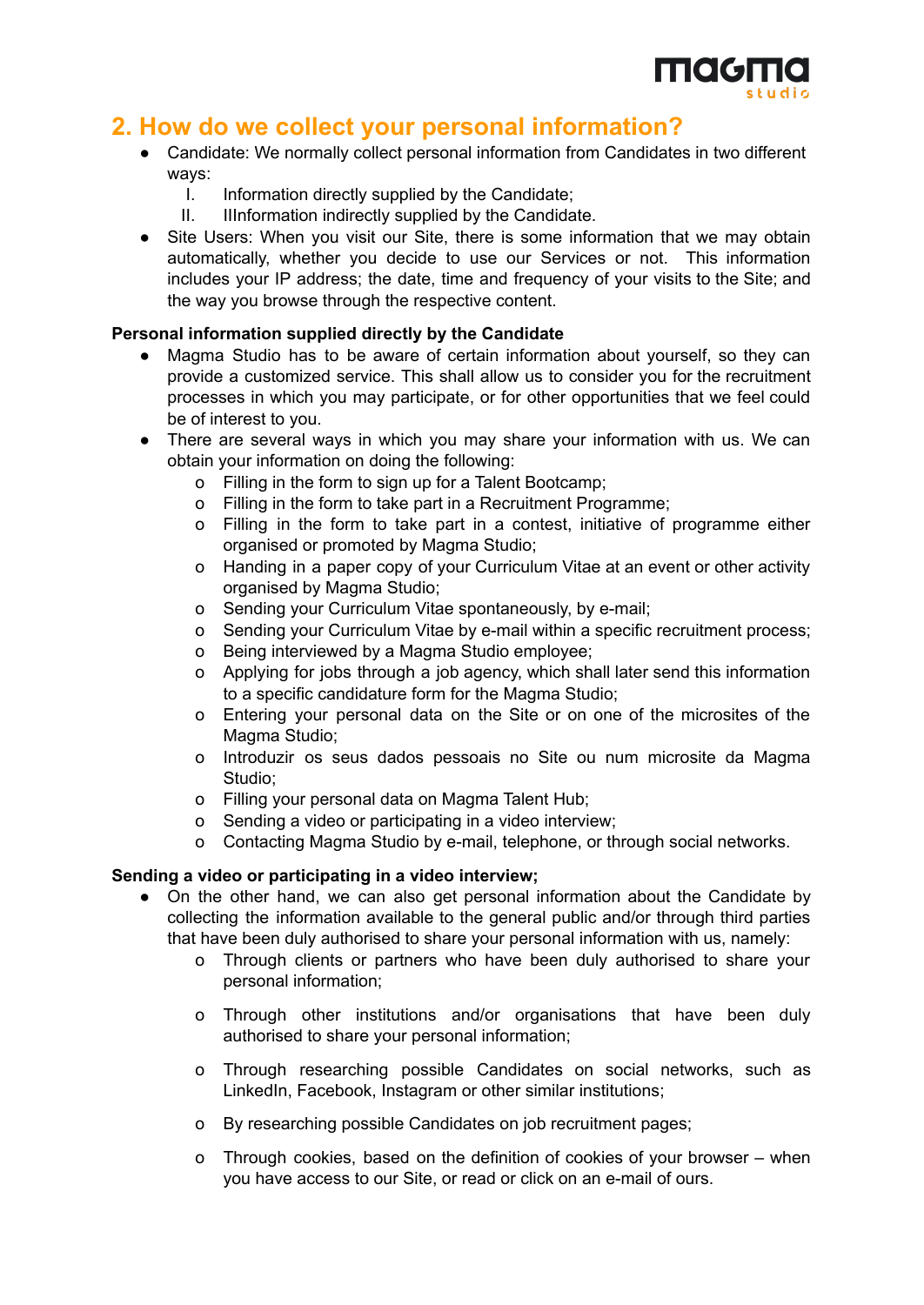

# **2. How do we collect your personal information?**

- Candidate: We normally collect personal information from Candidates in two different ways:
	- I. Information directly supplied by the Candidate;
	- II. IIInformation indirectly supplied by the Candidate.
- Site Users: When you visit our Site, there is some information that we may obtain automatically, whether you decide to use our Services or not. This information includes your IP address; the date, time and frequency of your visits to the Site; and the way you browse through the respective content.

#### **Personal information supplied directly by the Candidate**

- Magma Studio has to be aware of certain information about yourself, so they can provide a customized service. This shall allow us to consider you for the recruitment processes in which you may participate, or for other opportunities that we feel could be of interest to you.
- There are several ways in which you may share your information with us. We can obtain your information on doing the following:
	- o Filling in the form to sign up for a Talent Bootcamp;
	- o Filling in the form to take part in a Recruitment Programme;
	- o Filling in the form to take part in a contest, initiative of programme either organised or promoted by Magma Studio;
	- o Handing in a paper copy of your Curriculum Vitae at an event or other activity organised by Magma Studio;
	- o Sending your Curriculum Vitae spontaneously, by e-mail;
	- o Sending your Curriculum Vitae by e-mail within a specific recruitment process;
	- o Being interviewed by a Magma Studio employee;
	- o Applying for jobs through a job agency, which shall later send this information to a specific candidature form for the Magma Studio;
	- o Entering your personal data on the Site or on one of the microsites of the Magma Studio;
	- o Introduzir os seus dados pessoais no Site ou num microsite da Magma Studio;
	- o Filling your personal data on Magma Talent Hub;
	- o Sending a video or participating in a video interview;
	- o Contacting Magma Studio by e-mail, telephone, or through social networks.

#### **Sending a video or participating in a video interview;**

- On the other hand, we can also get personal information about the Candidate by collecting the information available to the general public and/or through third parties that have been duly authorised to share your personal information with us, namely:
	- o Through clients or partners who have been duly authorised to share your personal information;
	- o Through other institutions and/or organisations that have been duly authorised to share your personal information;
	- o Through researching possible Candidates on social networks, such as LinkedIn, Facebook, Instagram or other similar institutions;
	- o By researching possible Candidates on job recruitment pages;
	- o Through cookies, based on the definition of cookies of your browser when you have access to our Site, or read or click on an e-mail of ours.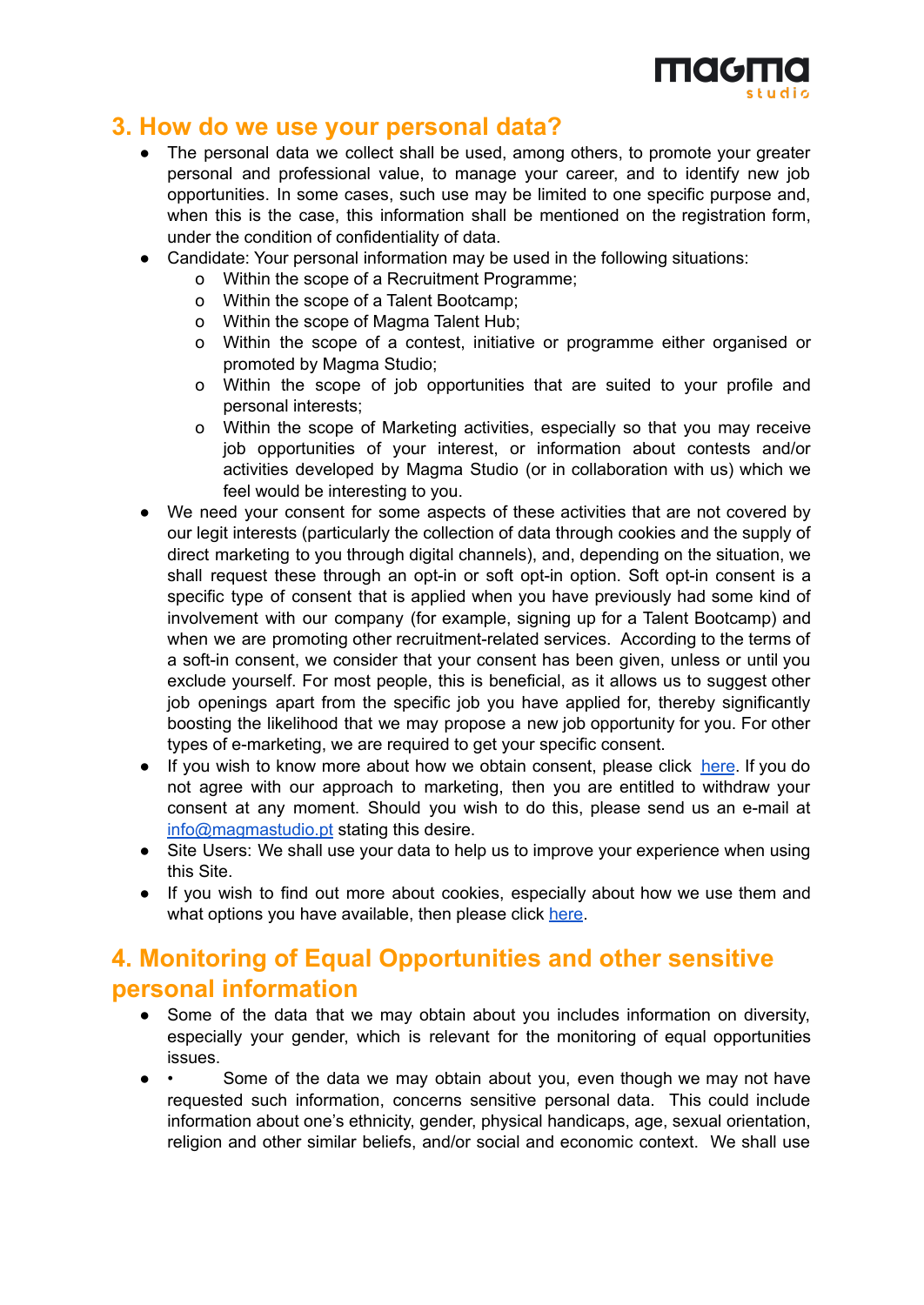

#### **3. How do we use your personal data?**

- The personal data we collect shall be used, among others, to promote your greater personal and professional value, to manage your career, and to identify new job opportunities. In some cases, such use may be limited to one specific purpose and, when this is the case, this information shall be mentioned on the registration form, under the condition of confidentiality of data.
- Candidate: Your personal information may be used in the following situations:
	- o Within the scope of a Recruitment Programme;
	- o Within the scope of a Talent Bootcamp;
	- o Within the scope of Magma Talent Hub;
	- o Within the scope of a contest, initiative or programme either organised or promoted by Magma Studio;
	- o Within the scope of job opportunities that are suited to your profile and personal interests;
	- o Within the scope of Marketing activities, especially so that you may receive job opportunities of your interest, or information about contests and/or activities developed by Magma Studio (or in collaboration with us) which we feel would be interesting to you.
- We need your consent for some aspects of these activities that are not covered by our legit interests (particularly the collection of data through cookies and the supply of direct marketing to you through digital channels), and, depending on the situation, we shall request these through an opt-in or soft opt-in option. Soft opt-in consent is a specific type of consent that is applied when you have previously had some kind of involvement with our company (for example, signing up for a Talent Bootcamp) and when we are promoting other recruitment-related services. According to the terms of a soft-in consent, we consider that your consent has been given, unless or until you exclude yourself. For most people, this is beneficial, as it allows us to suggest other job openings apart from the specific job you have applied for, thereby significantly boosting the likelihood that we may propose a new job opportunity for you. For other types of e-marketing, we are required to get your specific consent.
- If you wish to know more about how we obtain consent, please click [here](#page-6-1). If you do not agree with our approach to marketing, then you are entitled to withdraw your consent at any moment. Should you wish to do this, please send us an e-mail at [info@magmastudio.pt](mailto:info@magmastudio.pt) stating this desire.
- Site Users: We shall use your data to help us to improve your experience when using this Site.
- If you wish to find out more about cookies, especially about how we use them and what options you have available, then please click [here](#page-6-2).

# **4. Monitoring of Equal Opportunities and other sensitive personal information**

- Some of the data that we may obtain about you includes information on diversity, especially your gender, which is relevant for the monitoring of equal opportunities issues.
- • Some of the data we may obtain about you, even though we may not have requested such information, concerns sensitive personal data. This could include information about one's ethnicity, gender, physical handicaps, age, sexual orientation, religion and other similar beliefs, and/or social and economic context. We shall use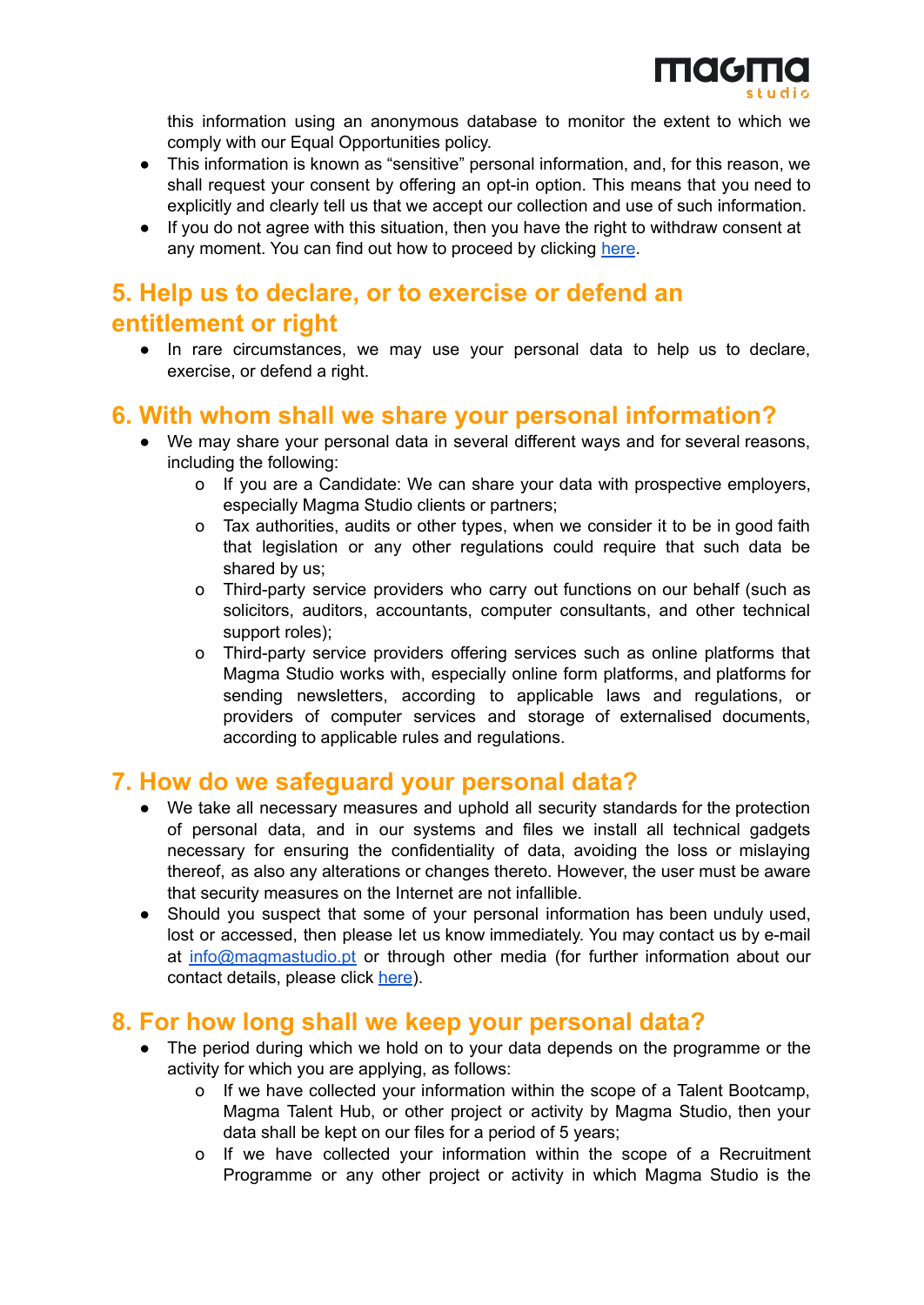

this information using an anonymous database to monitor the extent to which we comply with our Equal Opportunities policy.

- This information is known as "sensitive" personal information, and, for this reason, we shall request your consent by offering an opt-in option. This means that you need to explicitly and clearly tell us that we accept our collection and use of such information.
- If you do not agree with this situation, then you have the right to withdraw consent at any moment. You can find out how to proceed by clicking [here](#page-5-0).

# **5. Help us to declare, or to exercise or defend an entitlement or right**

● In rare circumstances, we may use your personal data to help us to declare, exercise, or defend a right.

## **6. With whom shall we share your personal information?**

- We may share your personal data in several different ways and for several reasons, including the following:
	- o If you are a Candidate: We can share your data with prospective employers, especially Magma Studio clients or partners;
	- o Tax authorities, audits or other types, when we consider it to be in good faith that legislation or any other regulations could require that such data be shared by us;
	- o Third-party service providers who carry out functions on our behalf (such as solicitors, auditors, accountants, computer consultants, and other technical support roles);
	- o Third-party service providers offering services such as online platforms that Magma Studio works with, especially online form platforms, and platforms for sending newsletters, according to applicable laws and regulations, or providers of computer services and storage of externalised documents, according to applicable rules and regulations.

## **7. How do we safeguard your personal data?**

- We take all necessary measures and uphold all security standards for the protection of personal data, and in our systems and files we install all technical gadgets necessary for ensuring the confidentiality of data, avoiding the loss or mislaying thereof, as also any alterations or changes thereto. However, the user must be aware that security measures on the Internet are not infallible.
- Should you suspect that some of your personal information has been unduly used, lost or accessed, then please let us know immediately. You may contact us by e-mail at [info@magmastudio.pt](mailto:info@magmastudio.pt) or through other media (for further information about our contact details, please click [here](#page-6-0)).

## **8. For how long shall we keep your personal data?**

- The period during which we hold on to your data depends on the programme or the activity for which you are applying, as follows:
	- o If we have collected your information within the scope of a Talent Bootcamp, Magma Talent Hub, or other project or activity by Magma Studio, then your data shall be kept on our files for a period of 5 years;
	- o If we have collected your information within the scope of a Recruitment Programme or any other project or activity in which Magma Studio is the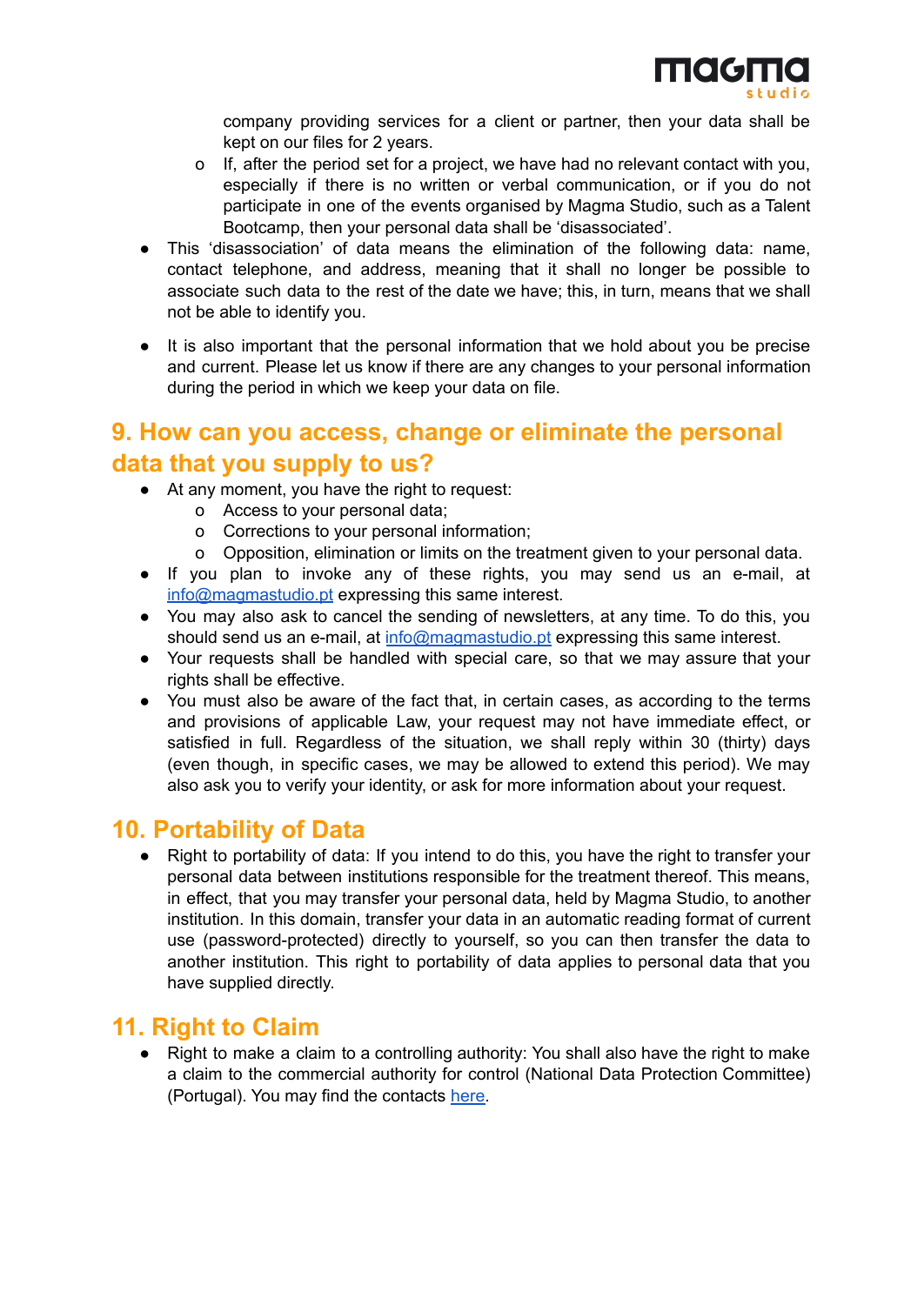company providing services for a client or partner, then your data shall be kept on our files for 2 years.

- o If, after the period set for a project, we have had no relevant contact with you, especially if there is no written or verbal communication, or if you do not participate in one of the events organised by Magma Studio, such as a Talent Bootcamp, then your personal data shall be 'disassociated'.
- This 'disassociation' of data means the elimination of the following data: name, contact telephone, and address, meaning that it shall no longer be possible to associate such data to the rest of the date we have; this, in turn, means that we shall not be able to identify you.
- It is also important that the personal information that we hold about you be precise and current. Please let us know if there are any changes to your personal information during the period in which we keep your data on file.

# <span id="page-5-0"></span>**9. How can you access, change or eliminate the personal data that you supply to us?**

- At any moment, you have the right to request:
	- o Access to your personal data;
	- o Corrections to your personal information;
	- o Opposition, elimination or limits on the treatment given to your personal data.
- If you plan to invoke any of these rights, you may send us an e-mail, at [info@magmastudio.pt](mailto:info@magmastudio.pt) expressing this same interest.
- You may also ask to cancel the sending of newsletters, at any time. To do this, you should send us an e-mail, at [info@magmastudio.pt](mailto:info@magmastudio.pt) expressing this same interest.
- Your requests shall be handled with special care, so that we may assure that your rights shall be effective.
- You must also be aware of the fact that, in certain cases, as according to the terms and provisions of applicable Law, your request may not have immediate effect, or satisfied in full. Regardless of the situation, we shall reply within 30 (thirty) days (even though, in specific cases, we may be allowed to extend this period). We may also ask you to verify your identity, or ask for more information about your request.

## **10. Portability of Data**

Right to portability of data: If you intend to do this, you have the right to transfer your personal data between institutions responsible for the treatment thereof. This means, in effect, that you may transfer your personal data, held by Magma Studio, to another institution. In this domain, transfer your data in an automatic reading format of current use (password-protected) directly to yourself, so you can then transfer the data to another institution. This right to portability of data applies to personal data that you have supplied directly.

## **11. Right to Claim**

● Right to make a claim to a controlling authority: You shall also have the right to make a claim to the commercial authority for control (National Data Protection Committee) (Portugal). You may find the contacts [here.](#page-7-0)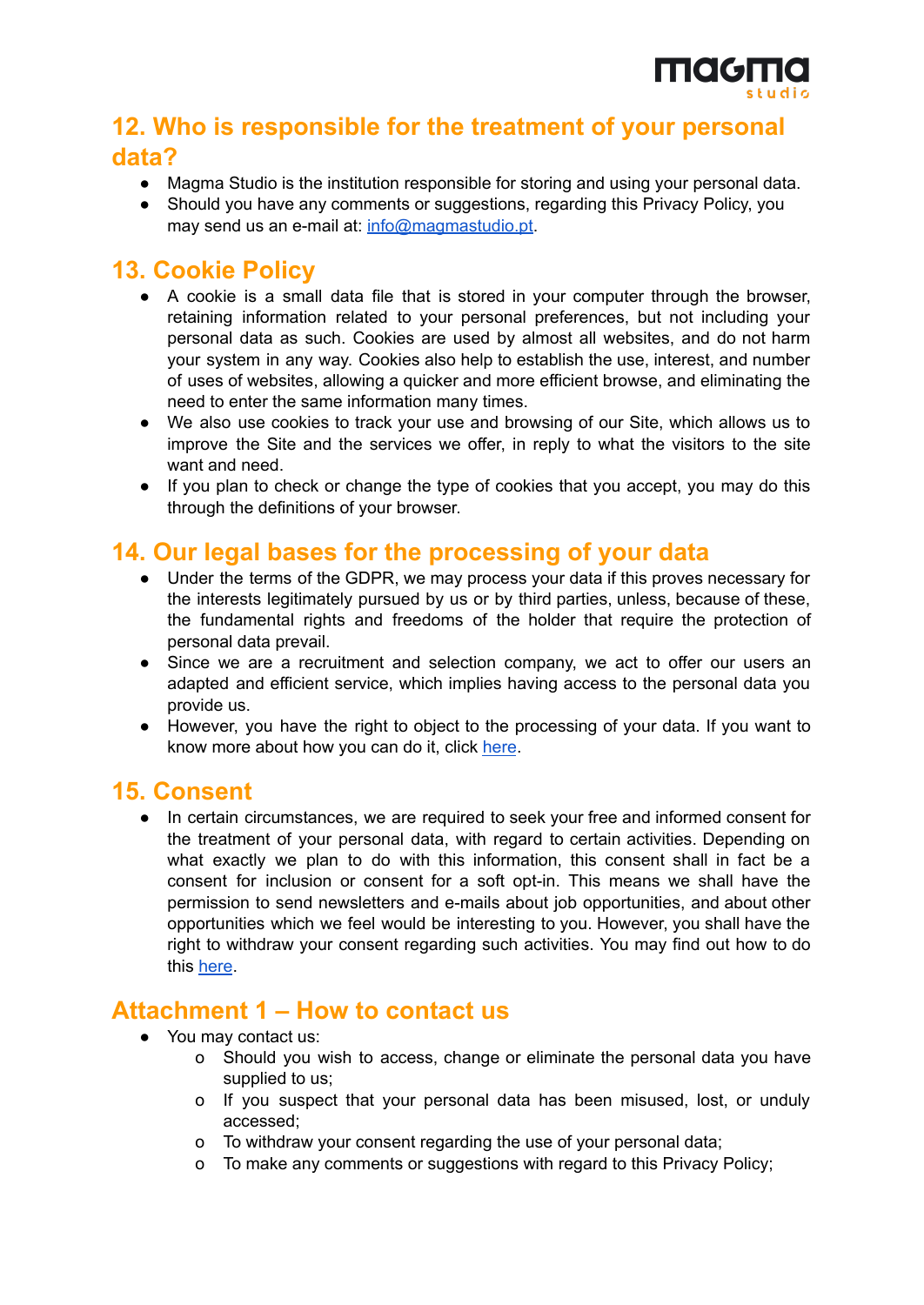

# **12. Who is responsible for the treatment of your personal data?**

- Magma Studio is the institution responsible for storing and using your personal data.
- Should you have any comments or suggestions, regarding this Privacy Policy, you may send us an e-mail at: [info@magmastudio.pt.](mailto:info@magmastudio.pt)

## <span id="page-6-2"></span>**13. Cookie Policy**

- A cookie is a small data file that is stored in your computer through the browser, retaining information related to your personal preferences, but not including your personal data as such. Cookies are used by almost all websites, and do not harm your system in any way. Cookies also help to establish the use, interest, and number of uses of websites, allowing a quicker and more efficient browse, and eliminating the need to enter the same information many times.
- We also use cookies to track your use and browsing of our Site, which allows us to improve the Site and the services we offer, in reply to what the visitors to the site want and need.
- If you plan to check or change the type of cookies that you accept, you may do this through the definitions of your browser.

# **14. Our legal bases for the processing of your data**

- Under the terms of the GDPR, we may process your data if this proves necessary for the interests legitimately pursued by us or by third parties, unless, because of these, the fundamental rights and freedoms of the holder that require the protection of personal data prevail.
- Since we are a recruitment and selection company, we act to offer our users an adapted and efficient service, which implies having access to the personal data you provide us.
- However, you have the right to object to the processing of your data. If you want to know more about how you can do it, click [here](#page-5-0).

## <span id="page-6-1"></span>**15. Consent**

● In certain circumstances, we are required to seek your free and informed consent for the treatment of your personal data, with regard to certain activities. Depending on what exactly we plan to do with this information, this consent shall in fact be a consent for inclusion or consent for a soft opt-in. This means we shall have the permission to send newsletters and e-mails about job opportunities, and about other opportunities which we feel would be interesting to you. However, you shall have the right to withdraw your consent regarding such activities. You may find out how to do this [here](#page-5-0).

# <span id="page-6-0"></span>**Attachment 1 – How to contact us**

- You may contact us:
	- o Should you wish to access, change or eliminate the personal data you have supplied to us;
	- o If you suspect that your personal data has been misused, lost, or unduly accessed;
	- o To withdraw your consent regarding the use of your personal data;
	- o To make any comments or suggestions with regard to this Privacy Policy;